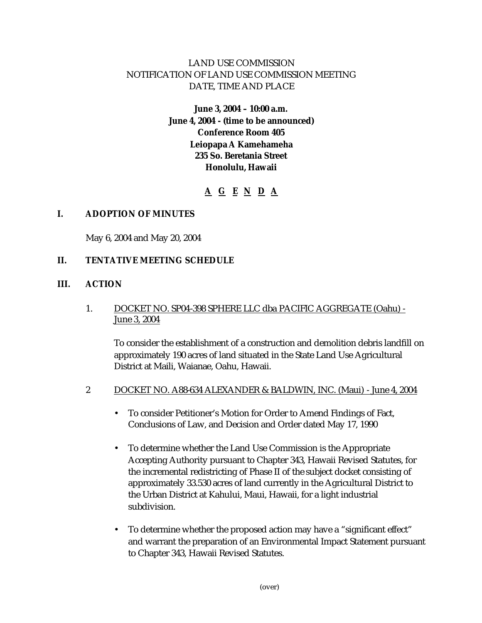# LAND USE COMMISSION NOTIFICATION OF LAND USE COMMISSION MEETING DATE, TIME AND PLACE

# **June 3, 2004 – 10:00 a.m. June 4, 2004 - (time to be announced) Conference Room 405 Leiopapa A Kamehameha 235 So. Beretania Street Honolulu, Hawaii**

# **A G E N D A**

## **I. ADOPTION OF MINUTES**

May 6, 2004 and May 20, 2004

## **II. TENTATIVE MEETING SCHEDULE**

#### **III. ACTION**

## 1. DOCKET NO. SP04-398 SPHERE LLC dba PACIFIC AGGREGATE (Oahu) - June 3, 2004

To consider the establishment of a construction and demolition debris landfill on approximately 190 acres of land situated in the State Land Use Agricultural District at Maili, Waianae, Oahu, Hawaii.

#### 2 DOCKET NO. A88-634 ALEXANDER & BALDWIN, INC. (Maui) - June 4, 2004

- To consider Petitioner's Motion for Order to Amend Findings of Fact, Conclusions of Law, and Decision and Order dated May 17, 1990
- To determine whether the Land Use Commission is the Appropriate Accepting Authority pursuant to Chapter 343, Hawaii Revised Statutes, for the incremental redistricting of Phase II of the subject docket consisting of approximately 33.530 acres of land currently in the Agricultural District to the Urban District at Kahului, Maui, Hawaii, for a light industrial subdivision.
- To determine whether the proposed action may have a "significant effect" and warrant the preparation of an Environmental Impact Statement pursuant to Chapter 343, Hawaii Revised Statutes.